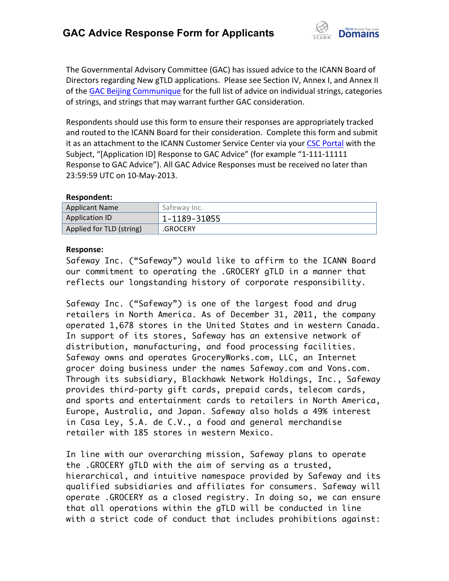

The Governmental Advisory Committee (GAC) has issued advice to the ICANN Board of Directors regarding New gTLD applications. Please see Section IV, Annex I, and Annex II of the GAC Beijing Communique for the full list of advice on individual strings, categories of strings, and strings that may warrant further GAC consideration.

Respondents should use this form to ensure their responses are appropriately tracked and routed to the ICANN Board for their consideration. Complete this form and submit it as an attachment to the ICANN Customer Service Center via your CSC Portal with the Subject, "[Application ID] Response to GAC Advice" (for example "1-111-11111 Response to GAC Advice"). All GAC Advice Responses must be received no later than 23:59:59 UTC on 10-May-2013.

## **Respondent:**

| <b>Applicant Name</b>    | Safeway Inc. |
|--------------------------|--------------|
| <b>Application ID</b>    | 1-1189-31055 |
| Applied for TLD (string) | .GROCERY     |

## **Response:**

Safeway Inc. ("Safeway") would like to affirm to the ICANN Board our commitment to operating the .GROCERY gTLD in a manner that reflects our longstanding history of corporate responsibility.

Safeway Inc. ("Safeway") is one of the largest food and drug retailers in North America. As of December 31, 2011, the company operated 1,678 stores in the United States and in western Canada. In support of its stores, Safeway has an extensive network of distribution, manufacturing, and food processing facilities. Safeway owns and operates GroceryWorks.com, LLC, an Internet grocer doing business under the names Safeway.com and Vons.com. Through its subsidiary, Blackhawk Network Holdings, Inc., Safeway provides third-party gift cards, prepaid cards, telecom cards, and sports and entertainment cards to retailers in North America, Europe, Australia, and Japan. Safeway also holds a 49% interest in Casa Ley, S.A. de C.V., a food and general merchandise retailer with 185 stores in western Mexico.

In line with our overarching mission, Safeway plans to operate the .GROCERY gTLD with the aim of serving as a trusted, hierarchical, and intuitive namespace provided by Safeway and its qualified subsidiaries and affiliates for consumers. Safeway will operate .GROCERY as a closed registry. In doing so, we can ensure that all operations within the gTLD will be conducted in line with a strict code of conduct that includes prohibitions against: